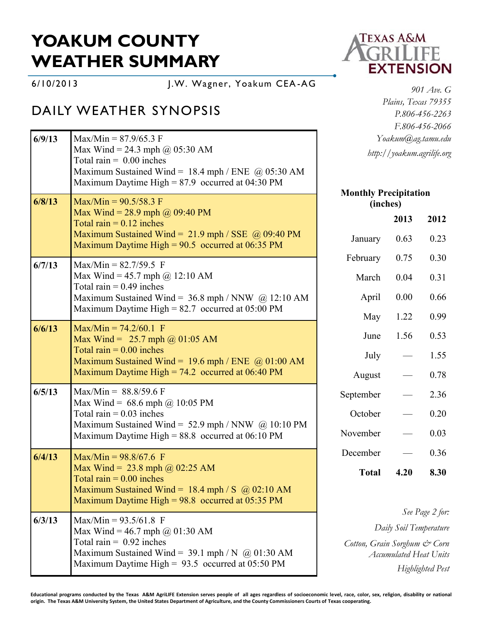## **YOAKUM COUNTY WEATHER SUMMARY**

6/10/2013 J.W. Wagner, Yoakum CEA -AG

## DAILY WEATHER SYNOPSIS

| 6/9/13 | $Max/Min = 87.9/65.3 F$<br>Max Wind = 24.3 mph $@$ 05:30 AM<br>Total rain = $0.00$ inches<br>Maximum Sustained Wind = $18.4$ mph / ENE @ 05:30 AM<br>Maximum Daytime High = $87.9$ occurred at 04:30 PM | Yoakum@ag.tamu.edu<br>http://yoakum.agrilife.org                                                            |      |                 |
|--------|---------------------------------------------------------------------------------------------------------------------------------------------------------------------------------------------------------|-------------------------------------------------------------------------------------------------------------|------|-----------------|
| 6/8/13 | $Max/Min = 90.5/58.3$ F                                                                                                                                                                                 | <b>Monthly Precipitation</b><br>(inches)                                                                    |      |                 |
|        | Max Wind = 28.9 mph @ $09:40 \text{ PM}$<br>Total rain $= 0.12$ inches                                                                                                                                  |                                                                                                             | 2013 | 2012            |
|        | Maximum Sustained Wind = $21.9$ mph / SSE $\omega$ 09:40 PM<br>Maximum Daytime High = $90.5$ occurred at 06:35 PM                                                                                       | January                                                                                                     | 0.63 | 0.23            |
| 6/7/13 | $Max/Min = 82.7/59.5$ F                                                                                                                                                                                 | February                                                                                                    | 0.75 | 0.30            |
|        | Max Wind = 45.7 mph @ 12:10 AM<br>Total rain $= 0.49$ inches<br>Maximum Sustained Wind = $36.8$ mph / NNW @ 12:10 AM<br>Maximum Daytime High = $82.7$ occurred at 05:00 PM                              | March                                                                                                       | 0.04 | 0.31            |
|        |                                                                                                                                                                                                         | April                                                                                                       | 0.00 | 0.66            |
|        |                                                                                                                                                                                                         | May                                                                                                         | 1.22 | 0.99            |
| 6/6/13 | $Max/Min = 74.2/60.1$ F<br>Max Wind = $25.7$ mph @ 01:05 AM                                                                                                                                             | June                                                                                                        | 1.56 | 0.53            |
|        | Total rain $= 0.00$ inches<br>Maximum Sustained Wind = $19.6$ mph / ENE @ 01:00 AM<br>Maximum Daytime High = $74.2$ occurred at 06:40 PM                                                                | July                                                                                                        |      | 1.55            |
|        |                                                                                                                                                                                                         | August                                                                                                      |      | 0.78            |
| 6/5/13 | Max/Min = $88.8/59.6$ F                                                                                                                                                                                 | September                                                                                                   |      | 2.36            |
|        | Max Wind = $68.6$ mph @ 10:05 PM<br>Total rain $= 0.03$ inches<br>Maximum Sustained Wind = $52.9$ mph / NNW $\omega$ 10:10 PM<br>Maximum Daytime High = $88.8$ occurred at 06:10 PM                     | October                                                                                                     |      | 0.20            |
|        |                                                                                                                                                                                                         | November                                                                                                    |      | 0.03            |
| 6/4/13 | $Max/Min = 98.8/67.6$ F                                                                                                                                                                                 | December                                                                                                    |      | 0.36            |
|        | Max Wind = $23.8$ mph @ 02:25 AM<br>Total rain $= 0.00$ inches<br>Maximum Sustained Wind = 18.4 mph / S $\omega$ 02:10 AM<br>Maximum Daytime High = $98.8$ occurred at 05:35 PM                         | <b>Total</b>                                                                                                | 4.20 | 8.30            |
| 6/3/13 | $Max/Min = 93.5/61.8$ F                                                                                                                                                                                 |                                                                                                             |      | See Page 2 for: |
|        | Max Wind = 46.7 mph @ 01:30 AM<br>Total rain = $0.92$ inches<br>Maximum Sustained Wind = $39.1$ mph / N @ 01:30 AM<br>Maximum Daytime High = $93.5$ occurred at 05:50 PM                                | Daily Soil Temperature<br>Cotton, Grain Sorghum & Corn<br><b>Accumulated Heat Units</b><br>Highlighted Pest |      |                 |



*901 Ave. G Plains, Texas 79355 P.806-456-2263 F.806-456-2066 Yoakum@ag.tamu.edu http://yoakum.agrilife.org*

**Educational programs conducted by the Texas A&M AgriLIFE Extension serves people of all ages regardless of socioeconomic level, race, color, sex, religion, disability or national origin. The Texas A&M University System, the United States Department of Agriculture, and the County Commissioners Courts of Texas cooperating.**